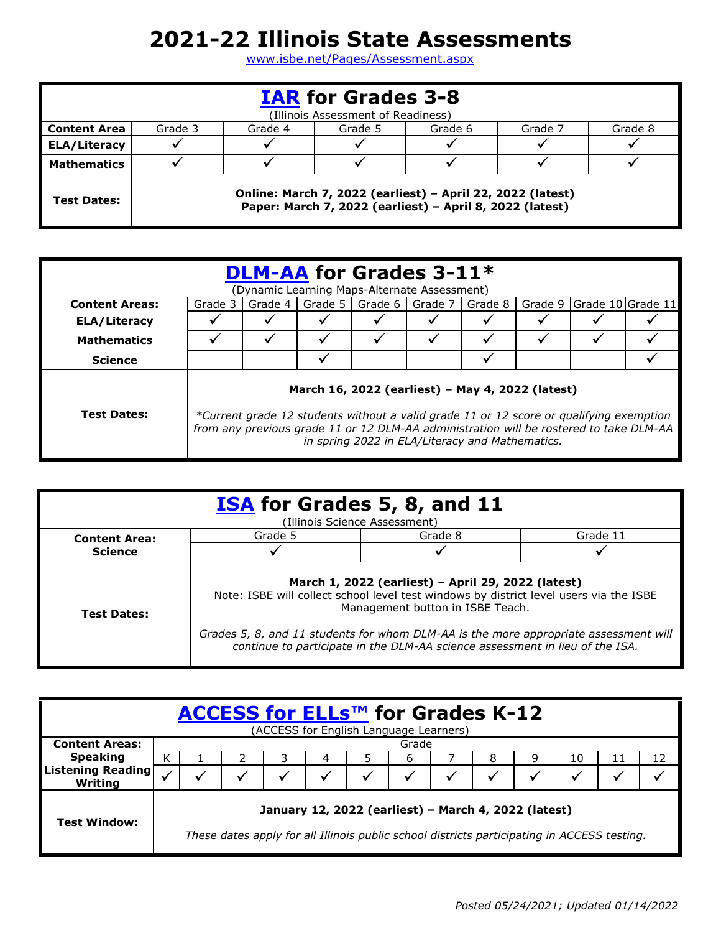## **2021-22 Illinois State Assessments**

[www.isbe.net/Pages/Assessment.aspx](http://www.isbe.net/Pages/Assessment.aspx)

| <b>IAR for Grades 3-8</b><br>(Illinois Assessment of Readiness) |         |                                                     |                                                                                                                        |  |  |  |  |  |  |
|-----------------------------------------------------------------|---------|-----------------------------------------------------|------------------------------------------------------------------------------------------------------------------------|--|--|--|--|--|--|
| <b>Content Area</b>                                             | Grade 3 | Grade 4<br>Grade 8<br>Grade 6<br>Grade 7<br>Grade 5 |                                                                                                                        |  |  |  |  |  |  |
| <b>ELA/Literacy</b>                                             |         |                                                     |                                                                                                                        |  |  |  |  |  |  |
| <b>Mathematics</b>                                              |         |                                                     |                                                                                                                        |  |  |  |  |  |  |
| <b>Test Dates:</b>                                              |         |                                                     | Online: March 7, 2022 (earliest) - April 22, 2022 (latest)<br>Paper: March 7, 2022 (earliest) - April 8, 2022 (latest) |  |  |  |  |  |  |

|                       |                                                                                                                                                                                                                                                                                          |         |  | <b>DLM-AA for Grades 3-11*</b> |  |         |         |  |                   |
|-----------------------|------------------------------------------------------------------------------------------------------------------------------------------------------------------------------------------------------------------------------------------------------------------------------------------|---------|--|--------------------------------|--|---------|---------|--|-------------------|
|                       | (Dynamic Learning Maps-Alternate Assessment)                                                                                                                                                                                                                                             |         |  |                                |  |         |         |  |                   |
| <b>Content Areas:</b> | Grade 3                                                                                                                                                                                                                                                                                  | Grade 4 |  | Grade 5   Grade 6   Grade 7    |  | Grade 8 | Grade 9 |  | Grade 10 Grade 11 |
| <b>ELA/Literacy</b>   |                                                                                                                                                                                                                                                                                          |         |  |                                |  |         |         |  |                   |
| <b>Mathematics</b>    |                                                                                                                                                                                                                                                                                          |         |  |                                |  |         |         |  |                   |
| <b>Science</b>        |                                                                                                                                                                                                                                                                                          |         |  |                                |  |         |         |  |                   |
| <b>Test Dates:</b>    | March 16, 2022 (earliest) - May 4, 2022 (latest)<br>*Current grade 12 students without a valid grade 11 or 12 score or qualifying exemption<br>from any previous grade 11 or 12 DLM-AA administration will be rostered to take DLM-AA<br>in spring 2022 in ELA/Literacy and Mathematics. |         |  |                                |  |         |         |  |                   |

|                      |                                                                                                                                                                                                                                                                                                                                                          | <b>ISA</b> for Grades 5, 8, and 11<br>(Illinois Science Assessment) |          |  |  |
|----------------------|----------------------------------------------------------------------------------------------------------------------------------------------------------------------------------------------------------------------------------------------------------------------------------------------------------------------------------------------------------|---------------------------------------------------------------------|----------|--|--|
| <b>Content Area:</b> | Grade 5                                                                                                                                                                                                                                                                                                                                                  | Grade 8                                                             | Grade 11 |  |  |
| <b>Science</b>       |                                                                                                                                                                                                                                                                                                                                                          |                                                                     |          |  |  |
| <b>Test Dates:</b>   | March 1, 2022 (earliest) - April 29, 2022 (latest)<br>Note: ISBE will collect school level test windows by district level users via the ISBE<br>Management button in ISBE Teach.<br>Grades 5, 8, and 11 students for whom DLM-AA is the more appropriate assessment will<br>continue to participate in the DLM-AA science assessment in lieu of the ISA. |                                                                     |          |  |  |

|                              | ACCESS for ELLs™ for Grades K-12                                                                                                                    |  |  |  |  |   |  |   |    |    |    |
|------------------------------|-----------------------------------------------------------------------------------------------------------------------------------------------------|--|--|--|--|---|--|---|----|----|----|
| <b>Content Areas:</b>        | (ACCESS for English Language Learners)<br>Grade                                                                                                     |  |  |  |  |   |  |   |    |    |    |
| <b>Speaking</b>              |                                                                                                                                                     |  |  |  |  | b |  | 9 | 10 | 11 | 12 |
| Listening Reading<br>Writing |                                                                                                                                                     |  |  |  |  |   |  |   |    |    |    |
| <b>Test Window:</b>          | January 12, 2022 (earliest) - March 4, 2022 (latest)<br>These dates apply for all Illinois public school districts participating in ACCESS testing. |  |  |  |  |   |  |   |    |    |    |